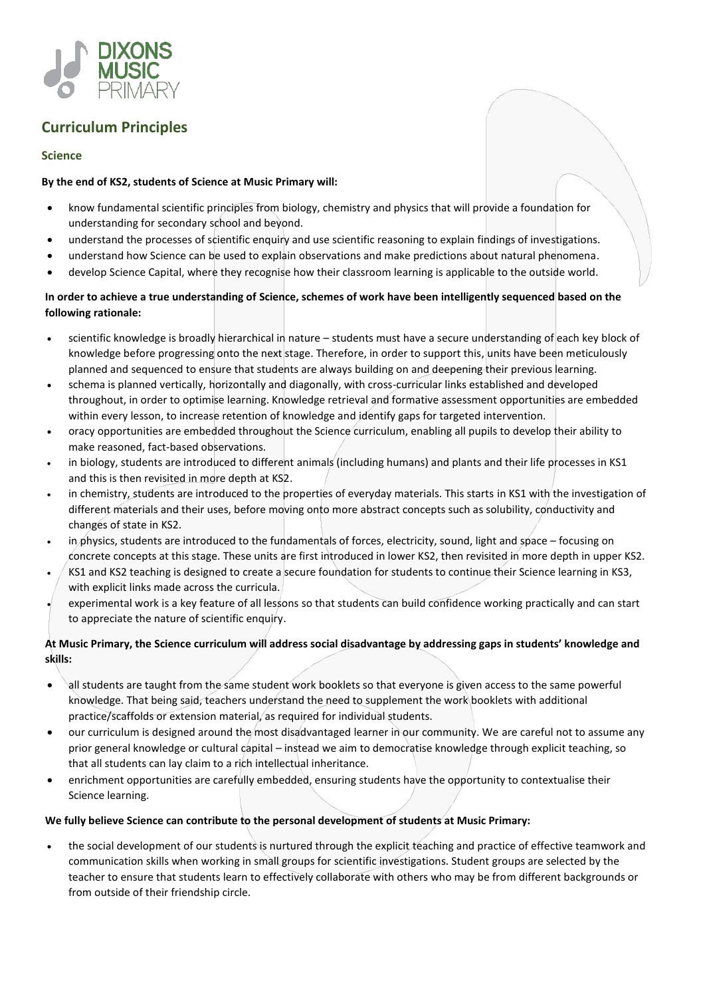

# **Curriculum Principles**

### **Science**

#### **By the end of KS2, students of Science at Music Primary will:**

- know fundamental scientific principles from biology, chemistry and physics that will provide a foundation for understanding for secondary school and beyond.
- understand the processes of scientific enquiry and use scientific reasoning to explain findings of investigations.
- understand how Science can be used to explain observations and make predictions about natural phenomena.
- develop Science Capital, where they recognise how their classroom learning is applicable to the outside world.

### **In order to achieve a true understanding of Science, schemes of work have been intelligently sequenced based on the following rationale:**

- scientific knowledge is broadly hierarchical in nature students must have a secure understanding of each key block of knowledge before progressing onto the next stage. Therefore, in order to support this, units have been meticulously planned and sequenced to ensure that students are always building on and deepening their previous learning.
- schema is planned vertically, horizontally and diagonally, with cross-curricular links established and developed throughout, in order to optimise learning. Knowledge retrieval and formative assessment opportunities are embedded within every lesson, to increase retention of knowledge and identify gaps for targeted intervention.
- oracy opportunities are embedded throughout the Science curriculum, enabling all pupils to develop their ability to make reasoned, fact-based observations.
- in biology, students are introduced to different animals (including humans) and plants and their life processes in KS1 and this is then revisited in more depth at KS2.
- in chemistry, students are introduced to the properties of everyday materials. This starts in KS1 with the investigation of different materials and their uses, before moving onto more abstract concepts such as solubility, conductivity and changes of state in KS2.
- in physics, students are introduced to the fundamentals of forces, electricity, sound, light and space focusing on concrete concepts at this stage. These units are first introduced in lower KS2, then revisited in more depth in upper KS2.
- KS1 and KS2 teaching is designed to create a secure foundation for students to continue their Science learning in KS3, with explicit links made across the curricula.
- experimental work is a key feature of all lessons so that students can build confidence working practically and can start to appreciate the nature of scientific enquiry.

## **At Music Primary, the Science curriculum will address social disadvantage by addressing gaps in students' knowledge and skills:**

- all students are taught from the same student work booklets so that everyone is given access to the same powerful knowledge. That being said, teachers understand the need to supplement the work booklets with additional practice/scaffolds or extension material, as required for individual students.
- our curriculum is designed around the most disadvantaged learner in our community. We are careful not to assume any prior general knowledge or cultural capital – instead we aim to democratise knowledge through explicit teaching, so that all students can lay claim to a rich intellectual inheritance.
- enrichment opportunities are carefully embedded, ensuring students have the opportunity to contextualise their Science learning.

#### **We fully believe Science can contribute to the personal development of students at Music Primary:**

 the social development of our students is nurtured through the explicit teaching and practice of effective teamwork and communication skills when working in small groups for scientific investigations. Student groups are selected by the teacher to ensure that students learn to effectively collaborate with others who may be from different backgrounds or from outside of their friendship circle.